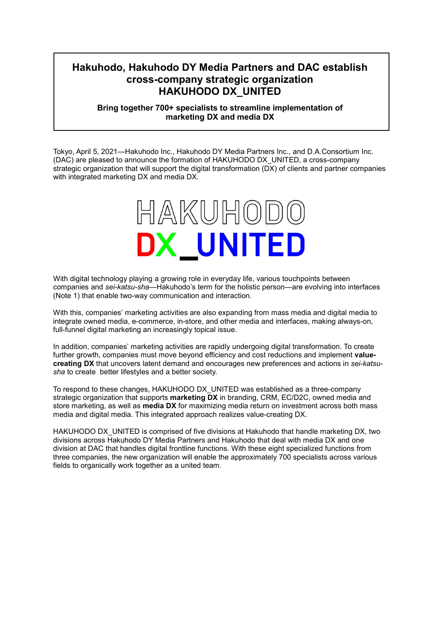# **Hakuhodo, Hakuhodo DY Media Partners and DAC establish cross-company strategic organization HAKUHODO DX\_UNITED**

# **Bring together 700+ specialists to streamline implementation of marketing DX and media DX**

Tokyo, April 5, 2021—Hakuhodo Inc., Hakuhodo DY Media Partners Inc., and D.A.Consortium Inc. (DAC) are pleased to announce the formation of HAKUHODO DX\_UNITED, a cross-company strategic organization that will support the digital transformation (DX) of clients and partner companies with integrated marketing DX and media DX.



With digital technology playing a growing role in everyday life, various touchpoints between companies and *sei-katsu-sha*—Hakuhodo's term for the holistic person—are evolving into interfaces (Note 1) that enable two-way communication and interaction.

With this, companies' marketing activities are also expanding from mass media and digital media to integrate owned media, e-commerce, in-store, and other media and interfaces, making always-on, full-funnel digital marketing an increasingly topical issue.

In addition, companies' marketing activities are rapidly undergoing digital transformation. To create further growth, companies must move beyond efficiency and cost reductions and implement **valuecreating DX** that uncovers latent demand and encourages new preferences and actions in *sei-katsusha* to create better lifestyles and a better society.

To respond to these changes, HAKUHODO DX\_UNITED was established as a three-company strategic organization that supports **marketing DX** in branding, CRM, EC/D2C, owned media and store marketing, as well as **media DX** for maximizing media return on investment across both mass media and digital media. This integrated approach realizes value-creating DX.

HAKUHODO DX UNITED is comprised of five divisions at Hakuhodo that handle marketing DX, two divisions across Hakuhodo DY Media Partners and Hakuhodo that deal with media DX and one division at DAC that handles digital frontline functions. With these eight specialized functions from three companies, the new organization will enable the approximately 700 specialists across various fields to organically work together as a united team.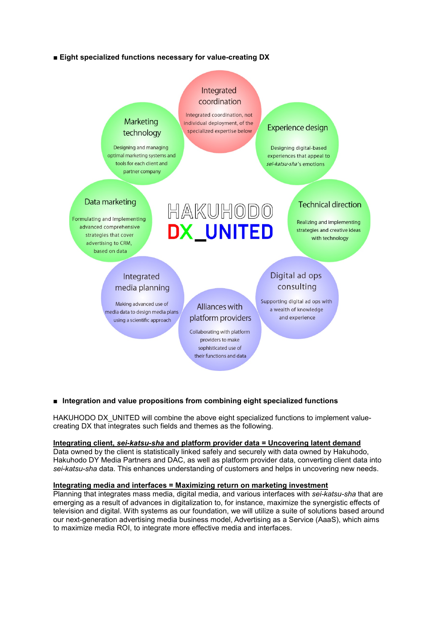## **■ Eight specialized functions necessary for value-creating DX**



#### **■ Integration and value propositions from combining eight specialized functions**

HAKUHODO DX UNITED will combine the above eight specialized functions to implement valuecreating DX that integrates such fields and themes as the following.

#### **Integrating client,** *sei-katsu-sha* **and platform provider data = Uncovering latent demand**

Data owned by the client is statistically linked safely and securely with data owned by Hakuhodo, Hakuhodo DY Media Partners and DAC, as well as platform provider data, converting client data into *sei-katsu-sha* data. This enhances understanding of customers and helps in uncovering new needs.

#### **Integrating media and interfaces = Maximizing return on marketing investment**

Planning that integrates mass media, digital media, and various interfaces with *sei-katsu-sha* that are emerging as a result of advances in digitalization to, for instance, maximize the synergistic effects of television and digital. With systems as our foundation, we will utilize a suite of solutions based around our next-generation advertising media business model, Advertising as a Service (AaaS), which aims to maximize media ROI, to integrate more effective media and interfaces.